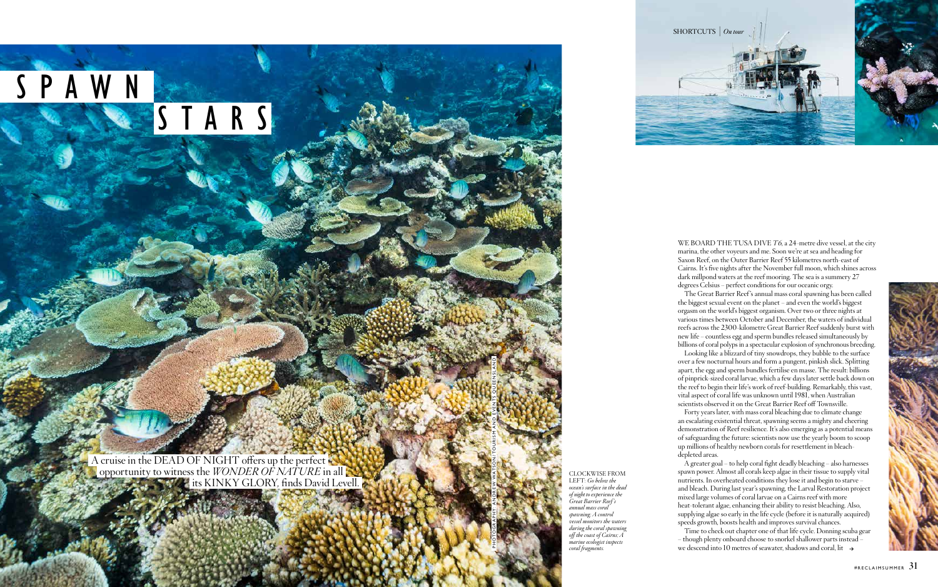

LEFT: *Go below the ocean's surface in the dead of night to experience the Great Barrier Reef's annual mass coral spawning; A control vessel monitors the waters during the coral spawning off the coast of Cairns; A marine ecologist inspects coral fragments.* 

WE BOARD THE TUSA DIVE *T*6, a 24-metre dive vessel, at the city marina, the other voyeurs and me. Soon we're at sea and heading for Saxon Reef, on the Outer Barrier Reef 55 kilometres north-east of Cairns. It's five nights after the November full moon, which shines across dark millpond waters at the reef mooring. The sea is a summery 27 degrees Celsius – perfect conditions for our oceanic orgy.

The Great Barrier Reef 's annual mass coral spawning has been called the biggest sexual event on the planet – and even the world's biggest orgasm on the world's biggest organism. Over two or three nights at various times between October and December, the waters of individual reefs across the 2300-kilometre Great Barrier Reef suddenly burst with new life – countless egg and sperm bundles released simultaneously by billions of coral polyps in a spectacular explosion of synchronous breeding.

we descend into 10 metres of seawater, shadows and coral, lit  $\rightarrow$ Time to check out chapter one of that life cycle. Donning scuba gear – though plenty onboard choose to snorkel shallower parts instead –





Looking like a blizzard of tiny snowdrops, they bubble to the surface over a few nocturnal hours and form a pungent, pinkish slick. Splitting apart, the egg and sperm bundles fertilise en masse. The result: billions of pinprick-sized coral larvae, which a few days later settle back down on the reef to begin their life's work of reef-building. Remarkably, this vast, vital aspect of coral life was unknown until 1981, when Australian scientists observed it on the Great Barrier Reef off Townsville.

Forty years later, with mass coral bleaching due to climate change an escalating existential threat, spawning seems a mighty and cheering demonstration of Reef resilience. It's also emerging as a potential means of safeguarding the future: scientists now use the yearly boom to scoop up millions of healthy newborn corals for resettlement in bleachdepleted areas.

A greater goal – to help coral fight deadly bleaching – also harnesses spawn power. Almost all corals keep algae in their tissue to supply vital nutrients. In overheated conditions they lose it and begin to starve – and bleach. During last year's spawning, the Larval Restoration project mixed large volumes of coral larvae on a Cairns reef with more heat-tolerant algae, enhancing their ability to resist bleaching. Also, supplying algae so early in the life cycle (before it is naturally acquired) speeds growth, boosts health and improves survival chances.